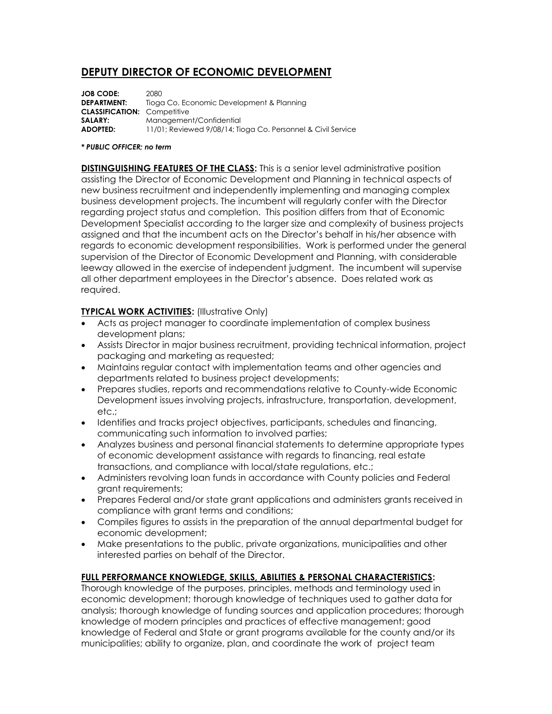# **DEPUTY DIRECTOR OF ECONOMIC DEVELOPMENT**

**JOB CODE:** 2080<br>**DEPARTMENT:** Tiogo Tioga Co. Economic Development & Planning **CLASSIFICATION:** Competitive **SALARY:** Management/Confidential **ADOPTED:** 11/01; Reviewed 9/08/14; Tioga Co. Personnel & Civil Service

#### *\* PUBLIC OFFICER; no term*

**DISTINGUISHING FEATURES OF THE CLASS:** This is a senior level administrative position assisting the Director of Economic Development and Planning in technical aspects of new business recruitment and independently implementing and managing complex business development projects. The incumbent will regularly confer with the Director regarding project status and completion. This position differs from that of Economic Development Specialist according to the larger size and complexity of business projects assigned and that the incumbent acts on the Director's behalf in his/her absence with regards to economic development responsibilities. Work is performed under the general supervision of the Director of Economic Development and Planning, with considerable leeway allowed in the exercise of independent judgment. The incumbent will supervise all other department employees in the Director's absence. Does related work as required.

### **TYPICAL WORK ACTIVITIES:** (Illustrative Only)

- Acts as project manager to coordinate implementation of complex business development plans;
- Assists Director in major business recruitment, providing technical information, project packaging and marketing as requested;
- Maintains regular contact with implementation teams and other agencies and departments related to business project developments;
- Prepares studies, reports and recommendations relative to County-wide Economic Development issues involving projects, infrastructure, transportation, development, etc.;
- Identifies and tracks project objectives, participants, schedules and financing, communicating such information to involved parties;
- Analyzes business and personal financial statements to determine appropriate types of economic development assistance with regards to financing, real estate transactions, and compliance with local/state regulations, etc.;
- Administers revolving loan funds in accordance with County policies and Federal grant requirements;
- Prepares Federal and/or state grant applications and administers grants received in compliance with grant terms and conditions;
- Compiles figures to assists in the preparation of the annual departmental budget for economic development;
- Make presentations to the public, private organizations, municipalities and other interested parties on behalf of the Director.

# **FULL PERFORMANCE KNOWLEDGE, SKILLS, ABILITIES & PERSONAL CHARACTERISTICS:**

Thorough knowledge of the purposes, principles, methods and terminology used in economic development; thorough knowledge of techniques used to gather data for analysis; thorough knowledge of funding sources and application procedures; thorough knowledge of modern principles and practices of effective management; good knowledge of Federal and State or grant programs available for the county and/or its municipalities; ability to organize, plan, and coordinate the work of project team